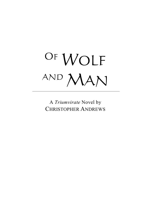

A *Triumvirate* Novel by CHRISTOPHER ANDREWS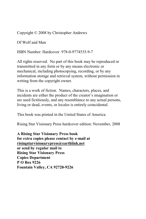Copyright © 2008 by Christopher Andrews

Of Wolf and Man

ISBN Number: Hardcover 978-0-9774535-9-7

All rights reserved. No part of this book may be reproduced or transmitted in any form or by any means electronic or mechanical, including photocopying, recording, or by any information storage and retrieval system, without permission in writing from the copyright owner.

This is a work of fiction. Names, characters, places, and incidents are either the product of the creator's imagination or are used fictitiously, and any resemblance to any actual persons, living or dead, events, or locales is entirely coincidental.

This book was printed in the United States of America.

Rising Star Visionary Press hardcover edition: November, 2008

**A Rising Star Visionary Press book for extra copies please contact by e-mail at risingstarvisionarypress@earthlink.net or send by regular mail to Rising Star Visionary Press Copies Department P O Box 9226 Fountain Valley, CA 92728-9226**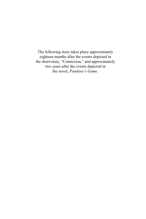The following story takes place approximately eighteen months after the events depicted in the short-story, "Connexion," and approximately two years after the events depicted in the novel, *Pandora's Game*.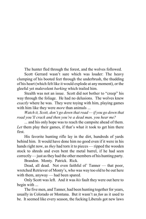The hunter fled through the forest, and the wolves followed.

Scott Gerrard wasn't sure which was louder: The heavy clumping of his booted feet through the underbrush, the thudding of his heart (which felt like it would explode at any moment), or the gleeful yet malevolent *barking* which trailed him.

Stealth was not an issue. Scott did not bother to "creep" his way through the foliage. He had no delusions. The wolves knew *exactly* where he was. They were toying with him, playing games with him like they were *more* than animals ...

*Watch it, Scott, don't go down that road — if you go down that road you'll crack and then you're a dead man, you hear me?*

... and his only hope was to reach the campsite ahead of them. *Let* them play their games, if that's what it took to get him there first.

His favorite hunting rifle lay in the dirt, hundreds of yards behind him. It would have done him no good even if it were in his hands right now, as *they* had torn it to pieces — ripped the wooden stock to shreds and even bent the metal barrel, if he had seen correctly — just asthey had the other members of his hunting party.

Brandon. Monty. Patrick. Rick.

Dead, all dead. Not even faithful ol' Tanner — that poor, wretched Retriever of Monty's, who was way too old to be out here with them, anyway — had been spared.

Only Scott was left. And it was *his* fault they were out here to begin with ...

The five men, and Tanner, had been hunting together for years, usually in Colorado or Montana. But it wasn't as *fun* as it used to be. It seemed like every season, the fucking Liberals got new laws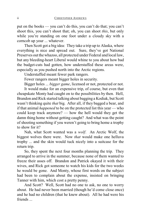put on the books — you can't do this, you can't do that; you can't shoot this, you can't shoot that; oh, you can shoot *this*, but only while you're standing on one foot under a cloudy sky with a corncob up your ... whatever.

Then Scott got a big idea: They take a trip up to Alaska, where everything is nice and spread out. Sure, they've got National Preserves out the whazoo, all protected under Federal and local law, but any bleeding-heart Liberal would whine to you about how bad the budget-cuts had gotten, how understaffed these areas were, especially as you pushed north into the Arctic regions.

Understaffed meant fewer park rangers.

Fewer rangers meant bigger holes in security.

Bigger holes ... *bigger game*, licensed or not, protected or not.

It would make for an expensive trip, of course, but even that cheapskate Monty had caught on to the possibilities by then. Hell, Brandon and Rick started talking about bagging a Kodiak, but Scott wasn't thinking quite *that* big. After all, if they bagged a bear, and if that animal *happened* to be on the protected list this year — who could keep track anymore? — how the hell would they get the damn thing home without getting caught? And what was the point of shooting something if you weren't going to bring home a trophy to show for it?

Nah, what Scott wanted was a *wolf*. An Arctic Wolf, the biggest wolves there were. Now *that* would make one helluva trophy ... and the skin would tuck nicely into a suitcase for the return trip.

So, they spent the next four months planning the trip. They arranged to arrive in the summer, because none of them wanted to freeze their asses off. Brandon and Patrick okayed it with their wives, and Rick got someone to watch his kids for the two weeks he would be gone. And Monty, whose first words on the subject had been to complain about the expense, insisted on bringing Tanner with him, which cost a pretty penny.

And Scott? Well, Scott had no one to ask, no one to worry about. He had never been married (though he'd come close once) and he had no children (that he knew about). All he had were his friends ...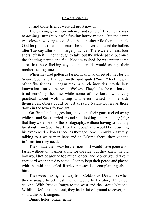... and those friends were all *dead* now ...

The barking grew more intense, and some of it even gave way to *howling*, straight out of a fucking horror movie. But the camp was close now, very close. Scott had another rifle there — thank God for procrastination, because he had never unloaded the bullets after Tuesday afternoon's target practice. There were at least four shots left in it — not enough to take out the whole pack, but once the shooting started and *their* blood was shed, he was pretty damn sure that these fucking coyotes-on-steroids would change their motherfucking tunes ...

When they had gotten as far north as Unalakleet off the Norton Sound, Scott and Brandon — the undisputed "nicer" looking pair of the five friends — began making subtle inquiries into the best known locations of the Arctic Wolves. They had to be cautious, to tread carefully, because while some of the locals were very practical about wolf-hunting and even hunted on the side themselves, others could be just as rabid Nature Lovers as those down in the lower forty-eight.

On Brandon's suggestion, they kept their guns tucked away while he and Scott carried around nice-looking cameras ... *implying* that they were here for the photography, without having to actually *lie* about it — Scott had kept the receipt and would be returning his overpriced Nikon as soon as they got home. Slowly but surely, talking to a white man here and an Eskimo there, they got the information they needed.

They made their way further north. It would have gone a lot faster without ol' Tanner along for the ride, but they knew the old boy wouldn't be around too much longer, and Monty would take it very hard when that day came. So they kept their peace and played with the white-muzzled Retriever instead of complaining about him.

They were making their way from Coldfoot to Deadhorse when they managed to get "lost," which would be the story if they got caught. With Brooks Range to the west and the Arctic National Wildlife Refuge to the east, they had a lot of ground to cover, but so did the park rangers.

Bigger holes, bigger game ...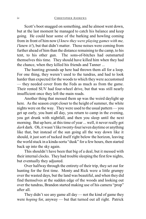Scott's boot snagged on something, and he almost went down, but at the last moment he managed to catch his balance and keep going. He could hear some of the barking and howling coming from in front of him now (*I knew they were playing games with me, I* knew *it!*), but that didn't matter. Those noises were coming from further ahead of him than the distance remaining to the camp, to his tent, to his other gun. The sons-of-bitches had outsmarted themselves this time. They should have killed him when they had the chance, when they killed his friends and Tanner ...

The hunting grounds up here had thrown them all for a loop. For one thing, they weren't used to the tundras, and had to look harder than expected for the woods to which they were accustomed — they needed cover from the Feds as much as from the game. Their rented SUV had four-wheel drive, but that was still nearly insufficient once they left the main roads.

Another thing that messed them up was the weird daylight up here. As the season crept closer to the height of summer, the white nights were on the way. They were used to the usual pattern — you get up early, you hunt all day, you return to camp in the evening, you get drunk with nightfall, and then you sleep until the next morning. But up here, at this time of year ... well, it never really got *dark* dark. Oh, it wasn't like twenty-four/seven daytime or anything like that, but instead of the sun going all the way down like it should, it just sort of tucked itself right below the horizon, leaving the world stuck in a kinda-sorta "dusk" for a few hours, then started back up into the sky again.

This shouldn't have been that big of a deal, but it messed with their internal clocks. They had trouble sleeping the first few nights, but eventually they adjusted.

Over halfway through the entirety of their trip, they set out for hunting for the first time. Monty and Rick were a little grumpy over the wasted days, but the land was beautiful, and when they did find themselves at the sudden edge of the woods and looking out over the tundras, Brandon started making use of his camera "prop" after all.

They didn't see any game all day — not the kind of game they were *hoping* for, anyway — but that turned out all right. Patrick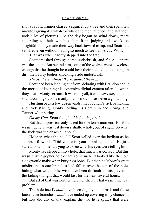shot a rabbit, Tanner chased a squirrel up a tree and then spent ten minutes giving it a what-for while the men laughed, and Brandon took a lot of pictures. As the day began to wind down, more according to their watches than from judging this weak-ass "nightfall," they made their way back toward camp, and Scott felt satisfied even without having so much as seen an Arctic Wolf.

That was when Monty stepped into the trap ...

Scott smashed through some underbrush, and *there* — there was the camp! But behind him, some of the wolves were now close enough that he thought he could hear their padded feet kicking up dirt, their furry bodies knocking aside underbrush.

*Almost there, almost there, almost there ...*

Scott had been leading out front, debating with Brandon about the merits of keeping his expensive digital camera after all, when they heard Monty scream. It wasn't a yell, it was a *scream*, and that sound coming out of a manly-man's mouth was never a good thing.

Hustling back a few dozen yards, they found Patrick panicking and Rick staring, Monty holding his right shin and crying, and Tanner whimpering.

*Oh my God,* Scott thought, *his foot is gone!*

But that impression only lasted for one tense moment. His foot wasn't gone, it wasjust down a shallow hole, out of sight. So what the fuck was the chaos all about?

"Monty, what the hell?!" Scott yelled over the bedlam as he stomped forward. "Did you twist your ... ank ... le ...?" He just stared for a moment, trying to *un*see what his eyes were telling him.

Monty had stepped into a hole, that much was correct. But this wasn't like a gopher hole or any some such. It looked like the hole a dog would make when burying a bone. But then, to Monty's great misfortune, some branches had fallen over the top of the hole, hiding what would otherwise have been difficult to miss, even in the fading twilight that would last for the next several hours.

But all of that was neither here nor there. That wasn't the real problem.

The hole itself *could* have been dug by an animal, and those loose, thin branches *could* have ended up covering it by chance ... but how did any of that explain the two little *spears* that were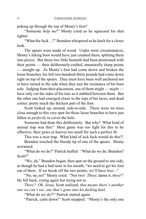poking up through the top of Monty's foot?

"Someone *help me*!" Monty cried as he squeezed his shin tighter.

"What the fuck ...?" Brandon whispered as he knelt for a closer look.

The spears were made of wood. Under most circumstances, Monty's hiking boot would have just crushed them, splitting them into pieces. But these two little bastards had been positioned with their points — their deliberately-crafted, unnaturally sharp points — straight up. As Monty's foot had come down and broken the loose branches, his full two-hundred-thirty pounds had come down right on top of the spears. They must have been well anchored not to have turned to the side when they met the resistance of his boot sole. Judging from their placement, one of them might — *might* have only cut the sides of his toes as it stabbed between them. But the other one had emerged closer to the tops of his laces, and dead center; pretty much the thickest part of the foot.

Scott looked up, around, side-to-side. There were no trees close enough to this very spot for those loose branches to have just fallen so *perfectly* to cover the hole.

Someone had done this deliberately. But why? What kind of animal trap was this? Most game was too light for this to be effective, their paws or hooves too small for such a perfect fit.

This was a *man* trap. What kind of sick fuck would do this?!

Brandon touched the bloody tip of one of the spears. Monty screamed.

"What do we do?" Patrick huffed. "What do we do, Brandon? Scott?"

"We, uh," Brandon began, then spat on the ground to one side, as though he had a bad taste in his mouth, "we need to get his foot out of there. If we break off the two points, we'll have less—"

"No, no, no!" Monty cried. "Not two! *Three*, damn it, *three*!" He fell back, crying again but trying not to.

*Three? Oh, Jesus*, Scott realized, *that means there's another one we can't see, one that's gone into his fucking heel.* 

"What do we do?!" Patrick started again.

"Patrick, calm down!" Scott snapped. "Monty's the only one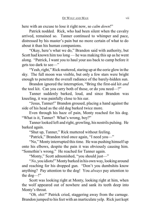here with an excuse to lose it right now, so *calm down*!"

Patrick nodded. Rick, who had been silent when the cavalry arrived, remained so. Tanner continued to whimper and pace, distressed by his master's pain but no more certain of what to do about it than his human companions.

"Okay, here's what we do," Brandon said with authority, but Scott had known him too long — he was making this up as he went along. "Patrick, I want you to haul your ass back to camp before it gets too dark to see—"

"Yeah, right," Rick muttered, staring up at the eerie glow in the sky. The full moon was visible, but only a few stars were bright enough to penetrate the overall radiance of the barely-hidden sun.

Brandon ignored the interruption, "Bring the first-aid kit *and* the tool kit. Can you carry both of those, or do you need—?"

Tanner suddenly barked, loud, and since Brandon was kneeling, it was painfully close to his ear.

"Jesus, Tanner!" Brandon groused, placing a hand against the side of his head as the old dog barked twice more.

Even through his haze of pain, Monty reached for his dog. "What is it, Tanner? What's wrong, boy?"

Tanner looked left and right, growling, his nostrils pulsing. He barked again.

"Shut up, Tanner," Rick muttered without feeling.

"Patrick," Brandon tried once again, "I need you—"

"No," Monty interrupted this time. He was pushing himself up onto his elbows, despite the pain it was obviously causing him. "Somethin's wrong." He reached for Tanner again.

"Monty," Scott admonished, "you should just—"

"*No*, you idiots!" Monty barked in his own way, looking around and reaching for his dropped gun. "Don't you dumbshits know anything? Pay attention to the dog! You *always* pay attention to the dog—!"

Scott was looking right at Monty, looking right at him, when the wolf appeared out of nowhere and sank its teeth deep into Monty's throat.

"*Oh, shit!*" Patrick cried, staggering away from the carnage. Brandon jumped to his feet with an inarticulate yelp. Rick just kept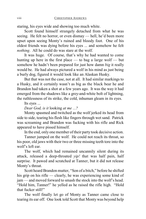staring, his eyes wide and showing too much white.

Scott found himself strangely detached from what he was seeing. He felt no horror, or even dismay — hell, he'd been more upset upon seeing Monty's ruined and bloody foot. One of his oldest friends was dying before his eyes ... and somehow he felt *nothing*. All he could do was stare at the wolf.

It was huge. Of course, that's why he had wanted to come hunting up here in the first place — to bag a large wolf — but somehow he hadn't been prepared for just how damn *big* it really would be. He had always pictured a wolf in his mind as just being a burly dog, figured it would look like an Alaskan Husky.

But that was not the case, not at all. It had similar markings to a Husky, and it certainly wasn't as big as the black bear he and Brandon had taken a shot at a few years ago. It was the way it had emerged from the shadows like a grey-and-white bolt of lightning, the ruthlessness of its strike, the cold, inhuman gleam in its eyes.

Its eyes ...

*Dear God, is it* looking *at me ...?*

Monty spasmed and twitched as the wolf jerked its head from side to side, tearing his flesh like fingers through wet sand. Patrick was screaming and Brandon was fucking with his rifle and Rick appeared to have pissed himself.

In the end, only one member of their party took decisive action.

Tanner jumped on the wolf. He could not reach its throat, so his poor, old jaws with their two or three missing teeth tore into the wolf's left ear.

The wolf, which had remained uncannily silent during its attack, released a deep-throated *yip!* that was half pain, half surprise. It pawed and scratched at Tanner, but it did not release Monty's throat.

Scott heard Brandon mutter, "Son of a bitch," before he shifted his grip on his rifle — clearly, he was experiencing some kind of jam — and moved forward to smash the stock into the wolf's head. "Hold him, Tanner!" he yelled as he raised the rifle high. "Hold that fucker still!"

The wolf finally let go of Monty as Tanner came close to tearing its ear off. One look told Scott that Montywas beyond help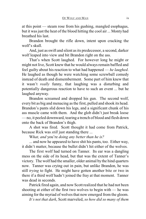at this point — steam rose from his gushing, mangled esophagus, but it was just the heat of the blood hitting the cool air ... Monty had breathed his last.

Brandon brought the rifle down, intent upon cracking the wolf's skull.

And, just as swift and silent as its predecessor, a second, darker wolf leaped into view and bit Brandon right on the ass.

That's when Scott laughed. For however long he might or might not live, Scott knew that he would always remain baffled and feel guilty about his reaction to what had happened — *he laughed*. He laughed as though he were watching some screwball comedy instead of death and dismemberment. Some part of him knew that it wasn't *really* funny, that laughing was a disturbing and potentially dangerous reaction to have to such an event ... but he laughed anyway.

Brandon screamed and dropped his gun. The second wolf, every bit as big and menacing as the first, pulled and shook its head. Brandon's pants slid down his legs, and a significant chunk of his ass muscle came with them. And the glob didn't just break loose — no, it peeled downward, tearing a trench of blood and flesh down onto the back of Brandon's thigh.

A shot was fired. Scott thought it had come from Patrick, because Rick was *still* just standing there ...

W*hat, and* you're *doing any better than he is?*

... and now he appeared to have shit his pants, too. Either way, it didn't matter, because the bullet didn't hit either of the wolves.

The first wolf had turned on Tanner. Its ear was a dangling mess on the side of its head, but that was the extent of Tanner's victory. The wolf had the smaller, older animal bythe hind quarters now. Tanner was crying out in pain, but unlike Brandon, he was still *trying* to fight. He might have gotten another bite or two in there if a third wolf hadn't joined the fray at that moment. Tanner was dead in seconds.

Patrick fired again, and now Scott realized that he had not been shooting at either of the first two wolves to begin with — he was aiming for the myriad of wolves that now emerged from the gloom.

*It's not that dark*, Scott marveled, *so how did so many of them*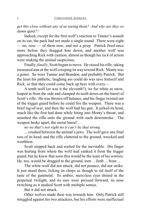*get this close without any of us seeing them? And why are they so damn* quiet*?!*

Indeed, except for the first wolf's reaction to Tanner's assault on its ear, the pack had not made a single sound. There were eight — no, *nine* — of them now, and not a peep. Patrick fired once more before they dragged him down, and another wolf was approaching Rick with caution, almost as though his *lack* of action were making the animal suspicious.

Finally, *finally*, Scott began to move. He raised his rifle, taking measured aim at the wolf creeping its way toward Rick. Monty was a goner. So were Tanner and Brandon, and probably Patrick. But the least his pathetic, laughing ass could do was save himself and Rick, so that they could come back up here with every—

A tenth wolf (or was it the eleventh?), its fur white as snow, leaped in from the side and clamped its teeth down on the barrel of Scott's rifle. He was thrown off balance, and his finger twisted out of the trigger guard before he could fire the weapon. There was a brief tug-of-war, and then the wolf had his gun. It jerked its head, much like the first had done while biting into Monty's throat, and smashed the rifle onto the ground with each downstroke. The weapon broke apart, the metal barrel ...

*no no that's not right no it can't be that strong*

... crushed between the animal's jaws. The wolf gave one final toss of its head, and the rifle clattered to the ground, wrecked and worthless.

Scott stepped back and waited for the inevitable. His finger was hurting from where the wolf had yanked it from the trigger guard, but he knew that soon this would be the least of his worries. He, too, would be dragged to the ground, torn ... limb ... from ...

The white wolf did not attack, did not pounce, did not strike. It just stood there, licking its chops as though to rid itself of the taste of the gunmetal. Its amber, merciless eyes shined in the perpetual twilight, and its ears were pressed forward, its nose twitching as it studied Scott with multiple senses.

But it did not attack.

Other wolves made their way towards him. Only Patrick still struggled against his two attackers, but his efforts were ineffectual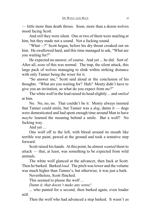— little more than death throes. Soon, more than a dozen wolves stood facing Scott.

And *still* they were silent. One or two of them were snarling at him, but they made not a sound. Not a fucking sound.

"What—?" Scott began, before his dry throat croaked out on him. He swallowed hard, and this time managed to ask, "What are you waiting for?"

He expected no answer, of course. And yet ... he did. Sort of. After all, *none* of this was normal. The trap, the silent attack, this large pack of wolves managing to slink within striking distance with only Tanner being the wiser for it.

"So answer me," Scott said aloud at the conclusion of his thoughts. "What are you waiting for? Huh? Monty didn't have to give you an invitation, so what do you expect from *me*?"

The white wolf in the lead raised its head slightly ... and *smiled* at him.

No. No, no, no. That couldn't be it. Monty always insisted that Tanner could smile, but Tanner was a *dog*, damn it — dogs were domesticated and had spent enough time around Man to have *maybe* learned the meaning behind a smile. But a wolf? No fucking way.

And yet ...

One wolf off to the left, with blood around its mouth like terrible war paint, pawed at the ground and took a tentative step forward.

Scott raised his hands. At this point, he almost *wanted* them to attack — that, at least, was something to be expected from wild animals.

The white wolf glanced at the advancer, then back at Scott. Then he barked. Barked *loud*. The pitch was lower and the volume was much higher than Tanner's, but otherwise, it was just a bark.

Nevertheless, Scott flinched.

This seemed to please the wolf ...

*Damn it, that doesn't make any sense!*

... who panted for a second, then barked again, even louder still.

Then the wolf who had advanced a step barked. It wasn't as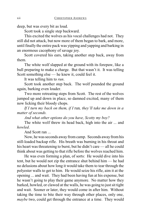deep, but was every bit as loud.

Scott took a single step backward.

This excited the wolves as his vocal challenges had not. They still did not attack, but now more of them began to bark, and more, until finally the entire pack was yipping and yapping and barking in an enormous cacophony of savage joy.

Scott covered his ears, taking another step back, away from them.

The white wolf slapped at the ground with its forepaw, like a bull preparing to make a charge. But that wasn't it. It was telling Scott something else — he knew it, could feel it.

It was telling him to *run*.

Scott took another step back. The wolf pounded the ground again, barking even louder.

Two more retreating steps from Scott. The rest of the wolves jumped up and down in place, so damned excited, many of them now licking their bloody chops.

*If I turn my back on them, if I* run*, they'll take me down in a matter of seconds.*

*And what other options do you have, Scotty my boy?*

The white wolf threw its head back, high into the air ... and *howled*.

And Scott ran ...

Now, he was seconds away from camp. Seconds away from his still-loaded backup rifle. His breath was burning in his throat and his heart was threatening to burst, but he didn't care — all he could think about was getting to that rifle before the wolves reached him.

He was even forming a plan, of sorts: He would dive into his tent, but he would not zip the entrance shut behind him — he had no delusions about how long it would take them to tear through the polyester walls to get to him. He would seize his rifle, aim it at the opening ... and wait. They had been having fun at his expense, but he wasn't going to play their game anymore. No matter how they barked, howled, or clawed at the walls, he was going to just sit tight and wait. Sooner or later, they would come in after him. Without taking the time to bite their way through other places, only one, *maybe* two, could get through the entrance at a time. They would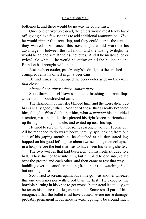bottleneck, and there would be no way he could miss.

Once one or two were dead, the others would most likely back off, giving him a few seconds to add additional ammunition. *Then* he would zipper the front flap, and they could tear at the tent all they wanted. For once, this never-night would work to his advantage — between the full moon and the lasting twilight, he would be able to aim at their silhouettes. And if he misses once or twice? So what — he would be sitting on all the bullets he and Brandon had brought with them.

Past the beer cooler, past Monty's bedroll, past the crushed and crumpled remains of last night's beer cans.

Behind him, a wolf bumped the beer cooler aside — they were *that* close!

*Almost there, almost there, almost there ...*

Scott threw himself toward his tent, brushing the front flaps aside with his outstretched arms—

The flashpoint of the rifle blinded him, and the noise didn't do his ears any good, either. Neither of those things really bothered him, though. What did bother him, what *demanded* his undivided attention, was the bullet that pierced his right kneecap, ricocheted up through his thigh muscle, and exited up near his hip.

He tried to scream, but for some reason, it wouldn't come out. All he managed to do was wheeze heavily, spit leaking from one side of his gaping mouth, as he clutched at his devastated leg, hopped on his good left leg for about two seconds, then collapsed in a heap before the tent that was to have been his saving shelter.

The two wolves that had been right on his heels skidded to a halt. They did not tear into him, but tumbled to one side, rolled over the ground and each other, and then came to rest that way huddling over one another, panting from their run, watching Scott but nothing more.

Scott tried to scream again, but all he got was another wheeze, this one even messier with drool than the first. He expected the horrible burning in his knee to get worse, but instead it actually got better as his entire right leg went numb. Some small part of him recognized that the bullet must have caused severe nerve damage, probably permanent ... but since he wasn't going to be around much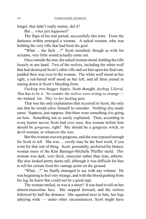longer, that didn't really matter, did it?

But ... *what just happened?*

The flaps of his tent parted, successfully this time. From the darkness within emerged a woman. A naked woman, who was holding the very rifle that had been his goal.

"What ... the fuck ...?" Scott mouthed, though as with his screams, very little sound actually came out.

Once outside the tent, the naked woman stood, holding the rifle loosely in one hand. Two of the wolves, including the white wolf that had destroyed Scott's other rifle and set him upon his final run, padded their way over to the woman. The white wolf stood on her right, a red-furred wolf stood on her left, and all three joined in staring down at Scott's bleeding form.

*Fucking tree-hugger hippie*, Scott thought, *fucking Liberal. That* has *to be it. No wonder the wolves were acting so strange she* trained *'em. They're her fucking* pets*.*

That was the only explanation that occurred to Scott, the only one that he would *allow* himself to consider. Nothing else made sense. Suppose, just suppose*,* that there were something *else* going on here. Something not so easily explained. Then, according to every horror movie Scott had ever seen, this woman before him should be *gorgeous*, right? She should be a gorgeous witch, or devil-woman, or whatever she was.

But this woman was not gorgeous, and she was exposed enough for Scott to tell. She was ... *earthy* may be the best word, if you went for that sort of thing. Scott, personally, preferred his fantasy woman more of the Kim Basinger-Michelle Pfeiffer mold. *This* woman was dark, very thick, muscular rather than lean, athletic. She also looked pretty damn tall, although it was difficult for him to tell for certain from his vantage point on the ground.

"What ...?" he finally managed to say with any volume. He was beginning to feel very strange, and with the blood gushing from his leg, he knew that could not be a good sign.

The woman smiled, or was it a sneer? It was hard to tell on her almost-masculine face. She stepped forward, and the wolves followed by half the distance. She squatted next to him, her legs splaying wide — under other circumstances, Scott might have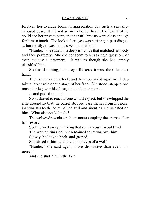forgiven her average looks in appreciation for such a sexuallyexposed pose. It did not seem to bother her in the least that he could see her private parts, that her full breasts were close enough for him to touch. The look in her eyes was part anger, part disgust ... but mostly, it was dismissive and apathetic.

"Hunter," she stated in a deep-ish voice that matched her body and face perfectly. She did not seem to be asking a question, or even making a statement. It was as though she had simply classified him.

Scott said nothing, but his eyes flickered toward the rifle in her hand.

The woman saw the look, and the anger and disgust swelled to take a larger role on the stage of her face. She stood, stepped one muscular leg over his chest, squatted once more ...

... and pissed on him.

Scott started to react as one would expect, but she whipped the rifle around so that the barrel stopped bare inches from his nose. Gritting his teeth, he remained still and silent as she urinated on him. What else could he do?

The wolves drew closer, their snouts sampling the aroma of her handiwork.

Scott turned away, thinking that surely *now* it would end.

The woman finished, but remained squatting over him.

Slowly, he looked back, and gasped.

She stared at him with the amber eyes of a wolf.

"Hunter," she said again, more dismissive than ever, "no more."

And she shot him in the face.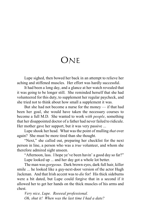## ONE

Lupe sighed, then bowed her back in an attempt to relieve her aching and stiffened muscles. Her effort was hardly successful.

It had been a long day, and a glance at her watch revealed that it was going to be longer still. She reminded herself that she had volunteered for this duty, to supplement her regular paycheck, and she tried not to think about how small a supplement it was.

But she had not become a nurse for the money — if that had been her goal, she would have taken the necessary courses to become a full M.D. She wanted to work *with people*, something that her disappointed doctor of a father had never failed to ridicule. Her mother gave her support, but it was very passive ...

Lupe shook her head. What wasthe point of mulling *that* over again? She must be more tired than she thought.

"Next," she called out, preparing her checklist for the next person in line, a person who was a *true* volunteer, and whom she therefore admired sight unseen.

"Afternoon, lass. I hope ye've been havin' a good day so far?" Lupe looked up ... and her day got a whole lot better.

The man was *gorgeous*. Dark brown eyes, dark full hair, killer smile ... he looked like a guy-next-door version of the actor Hugh Jackman. And that Irish accent was to *die* for! His thick sideburns were a bit dated, but Lupe could forgive that in a second if it allowed her to get her hands on the thick muscles of his arms and chest.

*Very nice, Lupe. Reeeeal professional. Oh, shut it! When was the last time I had a date?*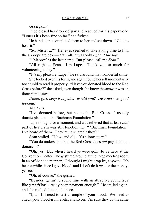## *Good point.*

Lupe closed her dropped jaw and reached for his paperwork. "I guess it's been fine so far," she fudged.

He handed the completed form to her and sat down. "Glad to hear it."

"So, Mister ...?" Her eyes seemed to take a long time to find the appropriate box — after all, it was only *right at the top*!

" 'Mabrey' is the last name. But please, call me *Sean*."

"All right ... Sean. I'm Lupe. Thank you so much for volunteering today."

"It's my pleasure, Lupe," he said around that wonderful smile.

She looked over his form, and again found herself momentarily too stupid to read it properly. "Have you donated blood to the Red Cross before?" she asked, even though she knew the answer was on there *somewhere*.

*Damn, girl, keep it together, would you? He's not* that *good looking!*

*Yes, he is.*

"I've donated before, but not to the Red Cross. I usually donate plasma to the Bachman Foundation."

Lupe thought for a moment, and was relieved that at least *that* part of her brain was still functioning. " 'Bachman Foundation.' I've heard of them. They're new, aren't they?"

Sean smiled. "New, and old. It's a long story."

"You do understand that the Red Cross does *not* pay its blood donors—?"

"Oh, yes. But when I heard ye were goin' to be here at the Convention Center," he gestured around at the large meeting room in an off-handed manner, "I thought I might drop by, anyway. It's been a while since I gave blood, and I don't do it *just* for the money, ye see?"

"Oh, of course," she gushed.

"Besides, gettin' to spend time with an attractive young lady like *yerself* has already been payment enough." He smiled again, and she melted that much more.

"I, uh, I'll need to test a sample of your blood. We need to check your blood-iron levels, and so on. I'm sure they do the same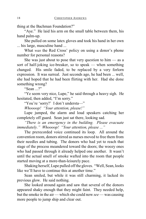thing at the Bachman Foundation?"

"Aye." He laid his arm on the small table between them, his hand palm-up.

She pulled on some latex gloves and took his hand in her own ... his large, masculine hand ...

What *was* the Red Cross' policy on using a donor's phone number for personal reasons?

She was just about to pose that very question to  $him - as a$ sort of half-joking ice-breaker, so to speak — when something changed. His smile faded, to be replaced by a very forlorn expression. It was surreal. Just seconds ago, he had been ... well, she had hoped that he had been flirting with her. Had she done something wrong?

"Sean ...?"

"Ye seem very nice, Lupe," he said through a heavy sigh. He hesitated, then added, "I'm sorry."

"You're 'sorry?' I don't understa—"

*Whoooop! "Your attention, please!"*

Lupe jumped, the alarm and loud speakers catching her completely off guard. Sean just sat there, looking sad.

*"There is an emergency in the building. Please evacuate immediately." Whoooop! "Your attention, please ..."*

The prerecorded voice continued its loop. All around the convention room, donors stirred as nurses moved to free them from their needles and tubing. The donors who had yet to reach that stage of the process meandered toward the doors; the woozy ones who had passed through it already helped one another. It wasn't until the actual smell of smoke wafted into the room that people started moving at a more-than-leisurely pace.

Shaking herself, Lupe pulled off the gloves. "Well, Sean, looks like we'll have to continue this at another time."

Sean smiled, but while it was still charming, it lacked its previous glow. He said nothing.

She looked around again and saw that several of the donors appeared shaky enough that they might faint. They needed help, but the smoke in the air — which she could now *see* — was causing more people to jump ship and clear out.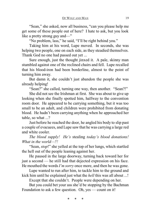"Sean," she asked, now all business, "can you please help me get some of these people out of here? I hate to ask, but you look like a pretty strong guy and—"

"No problem, lass," he said, "I'll be right behind you."

Taking him at his word, Lupe moved. In seconds, she was helping two people, one on each side, as they steadied themselves. Thank God no one had passed out yet ...

Sure enough, just the thought jinxed it. A pale, skinny man stumbled against one of the reclined chairs and fell. Lupe recalled that his blood-iron had been borderline, almost to the point of turning him away.

But damn it, she couldn't just abandon the people she was already helping!

"Sean?" she called, turning one way, then another. "Sean?!"

She did not see the Irishman at first. She was about to give up looking when she finally spotted him, halfway to the convention room door. He appeared to be carrying something, but it was too small to be an adult, and children were prohibited from donating blood. He hadn't been carrying anything when he approached her table, so what ...?

Just before he reached the door, he angled his body to slip past a couple of evacuees, and Lupe saw that he was carrying a large red and white cooler.

*The blood supply! He's* stealing *today's blood donations! What in the world—?!*

"Sean, *stop*!" she yelled at the top of her lungs, which startled the hell out of the people leaning against her.

He paused in the large doorway, turning back toward her for just a second — he still had that dejected expression on his face. He mouthed the words *I'm sorry* once more, and then he was gone.

Lupe wanted to run after him, to tackle him to the ground and kick him until he explained just what the *hell* this was all about ...!

Except that she couldn't. People were depending on her.

But you could bet your ass she'd be stopping by the Bachman Foundation to ask a few question. Oh, yes — count on it!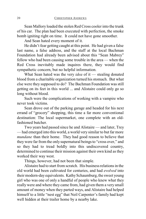Sean Mallory loaded the stolen Red Cross cooler into the trunk of his car. The plan had been executed with perfection, the smoke bomb igniting right on time. It could not have gone smoother.

And Sean hated every moment of it.

He didn't fear getting caught at this point. He had given a false last name, a false address, and the staff at the local Bachman Foundation had already been advised about this "Sean Mabrey" fellow who had been causing some trouble in the area — when the Red Cross inevitably made inquires there, they would find sympathetic concern, but no helpful information.

What Sean hated was the very *idea* of it — stealing donated blood from a charitable organization turned his stomach. But what else were they supposed to do? The Bachman Foundation was still getting on its feet in this world ... and Alistaire could only go so long without blood.

Such were the complications of working with a vampire who never took victims.

Sean drove out of the parking garage and headed for his next errand of "grocery" shopping, this time a far more conventional destination: The local supermarket, one complete with an oldfashioned butcher.

Two years had passed since he and Alistaire — and later, Trey — had emerged into this world, a world very similar to but far more *mundane* than their home. They had good reason to believe that they were far from the only supernatural beings to "cross over," and so they had to tread boldly into this undiscovered country, determined to continue their mission against their own kind as they worked their way west.

Things, however, had not been that simple.

Alistaire had to start from scratch. His business relations in the old world had been cultivated for centuries, and had *evolved* into their modern-day equivalents. Kathy Schaumburg, the sweet young girl who was one of only a handful of people who knew what they really were and where they came from, had given them a very small amount of money when they parted ways, and Alistaire had helped himself to a little "nest egg" that Neil Carpenter's family had kept well hidden at their trailer home by a nearby lake.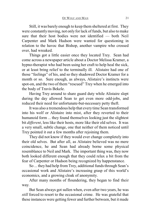Still, it was barely enough to keep them sheltered at first. They were constantly moving, not only for lack of funds, but also to make sure that their host bodies were not identified — both Neil Carpenter and Mark Hudson were wanted for questioning in relation to the havoc that Bishop, another vampire who crossed over, had wreaked.

Things got a little easier once they located Trey. Sean had come across a newspaper article about a Doctor Melissa Kramer, a hypno-therapist who had been using her craft to help heal the sick, or at least bring relief to the terminally ill. Alistaire had one of those "feelings" of his, and so they shadowed Doctor Kramer for a month or so. Sure enough, as always, Alistaire's instincts were spot-on, and the two of them "rescued" Trey when he emerged into the body of Travis Bekele.

Having Trey around to share guard duty while Alistaire slept during the day allowed Sean to get even more odd-jobs, and reduced their need for unfortunate-but-necessary petty theft.

It was also a tremendous help that every time Sean transformed into his wolf or Alistaire into mist, after they reverted to their humanoid form ... they found themselves looking just the slightest bit *different*, less like their hosts, more like their old selves. It was a very small, subtle change, one that neither of them noticed until Trey pointed it out a few months after rejoining them.

They did not know if they would ever change completely into their old selves. But after all, as Alistaire believed was no mere coincidence, he and Sean had already borne some physical resemblance to Neil and Mark. The important thing was, they now both looked different enough that they could relax a bit from the fear of Carpenter or Hudson being recognized by happenstance.

So ... they had help from Trey, additional funds through Sean's occasional work and Alistaire's increasing grasp of this world's economics, and a growing cloak of anonymity.

After many months of floundering, they began to find their way.

But Sean always got sullen when, even after two years, he was *still* forced to resort to the occasional crime. He was grateful that these instances were getting fewer and further between, but it made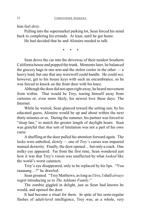him feel *dirty*.

Pulling into the supermarket parking lot, Sean forced his mind back to completing his errands. At least, until he got home.

He had decided that he and Alistaire needed to talk.

\* \* \*

Sean drove the car into the driveway of their modest Southern California house and popped the trunk. Moments later, he balanced the grocery bags in one arm and the stolen cooler in the other — a heavy load, but one that any werewolf could handle. He could *not*, however, get to his house keys with such an encumbrance, so he was forced to knock on the front door with his knee.

Although the door did not open right away, he heard movement from within. That would be Trey, tearing himself away from cartoons or, even more likely, his newest love these days: The **Internet** 

While he waited, Sean glanced toward the setting sun; by his educated guess, Alistaire would be up and about within the next thirty minutes or so. During the summer, his partner was forced to "sleep late," to match the greater length of daylight hours. Sean was grateful that *that* sort of limitation was not a part of his own curse.

A shuffling at the door pulled his attention forward again. The locks were unbolted, slowly — one of *Trey's* curses was impaired manual dexterity. Finally, the door opened ... but only a crack. One milky eye appeared. Far from the first time, Sean wondered just how it was that Trey's vision was unaffected by what *looked* like the world's worst cataracts.

Trey's eye disappeared, only to be replaced by his lips. "You raaaaang ...?" he drawled.

Sean groaned. "Trey Matthews, as long as I live, I shall *always* regret introducing ye to *The Addams Family*."

The zombie giggled in delight, just as Sean had known he would, and opened the door.

It had become a ritual for them. In spite of his semi-regular flashes of adult-level intelligence, Trey was, as a whole, very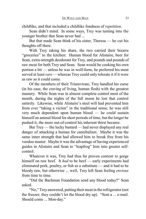childlike, and that included a childlike fondness of *repetition*.

Sean didn't mind. In some ways, Trey was turning into the younger brother that Sean never had ...

But that made Sean think of his sister, Theresa — he cut his thoughts off there.

With Trey taking his share, the two carried their bizarre "groceries" to the kitchen: Human blood for Alistaire, beer for Sean, extra-strength deodorant for Trey, and pounds and pounds of raw meat for both Trey and Sean. Sean would be cooking his own portion a bit — unless he was in wolf-form, he preferred his meat served at least *rare —* whereas Trey could only tolerate it if it were as raw as it could come.

Of the members of their Triumvirate, Trey handled his curse (in his case, the craving of living, human flesh) with the greatest mastery. While Sean was in almost complete control most of the month, during the nights of the full moon he lost that control entirely. Likewise, while Alistaire's steel will had prevented him from ever "taking a victim" in the traditional sense, he was still very much dependent upon human blood — he could sustain himself on animal blood for short periods of time, but the longer he pushed it, the more out-of-control his inherent thirst became.

But Trey — the lucky bastard — had never displayed any real danger of attacking a human for cannibalism. Maybe it was the same inner strength that had allowed him to break free from his voodoo master. Maybe it was the advantage of having experienced guides in Alistaire and Sean to "leapfrog" him into greater selfcontrol.

Whatever it was, Trey had thus far proven content to gorge himself on raw beef. It *had* to be beef — early experiments had eliminated pork, poultry, or fish as a substitute — and it had to be bloody raw, but otherwise ... well, Trey left Sean feeling *envious* from time to time.

"Did the Bachman Foundation send any blood today?" Sean asked.

"No," Treyanswered, putting their meat in the refrigerator (not the freezer; they couldn't let the blood dry up). "Sent a ... e-mail. Should come ... Mon-day."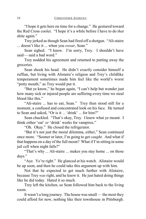"I hope it gets here on time for a change." He gestured toward the Red Cross cooler. "I hope it's a while before I have to do *that* shite again."

Trey jerked as though Sean had fired off a shotgun. "Ali-staire ... doesn't like it ... when you *swear*, Sean."

Sean sighed. "I know. I'm sorry, Trey. I shouldn't have said— said a bad word."

Trey nodded his agreement and returned to putting away the groceries.

Sean shook his head. He didn't exactly consider himself a ruffian, but living with Alistaire's religion and Trey's childlike temperament sometimes made him feel like the world's worst "potty mouth," as Trey would put it.

"But ye know," he began again, "I can't help but wonder just how many sick or injured people are suffering every time we steal blood like this."

"Ali-staire ... has to eat, Sean." Trey then stood still for a moment, a confused and concentrated look on his face. He turned to Sean and asked, "Or is it ... 'drink' ... for him?"

Sean chuckled. "That's okay, Trey. I knew what ye meant. I think either 'eat' *or* 'drink' works for vampires."

"Oh. Okay." He closed the refrigerator.

"But it's not just the moral dilemma, either," Sean continued once more. "Sooner or later, I'm going to get *caught*. And what if that happens on a day of the full moon? What if I'm sitting in some jail cell when night falls?"

"That's why ... Ali-staire ... makes you stay home ... on those days."

"Aye. Ye're right." He glanced at his watch. Alistaire would be up soon, and then he could take this argument up with him.

Not that he expected to get much further with Alistaire, because Trey *was* right, and he knew it. He just hated doing things like he did today. Hated it so much.

Trey left the kitchen, so Sean followed him back to the living room.

It wasn't a long journey. The house was small — the most they could afford for now, nothing like their townhouse in Pittsburgh.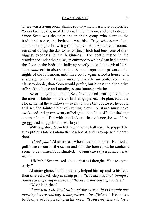There was a living room, dining room (which was more of glorified "breakfast nook"), small kitchen, full bathroom, and one bedroom. Since Sean was the only one in their group who slept in the traditional sense, the bedroom was his. Trey, who *never* slept, spent most nights browsing the Internet. And Alistaire, of course, retreated during the day to his coffin, which had been one of their biggest expenses in the beginning. The coffin rested in the crawlspace under the house, an entrance to which Sean had cut into the floor in the bedroom hallway shortly after their arrival here. That *same* coffin also served as Sean's impromptu prison on the nights of the full moon, until they could again afford a house with a storage cellar. It was more physically uncomfortable, and claustrophobic, than Sean would prefer, but it beat the alternative of breaking loose and mauling some innocent victim.

Before they could settle, Sean's enhanced hearing picked up the interior latches on the coffin being opened. He glanced at the clock, then at the windows — even with the blinds closed, he could still see the faintest hint of evening glow. Alistaire must have awakened and grown weary of being stuck in his coffin for the long summer hours. But with the dusk still in evidence, he would be groggy and sluggish for a while yet.

With a gesture, Sean led Trey into the hallway. He popped the surreptitious latches along the baseboard, and Trey opened the trap door.

*"Thank you,"* Alistaire said when the door opened. He tried to pull himself out of the coffin and into the house, but he couldn't seem to get himself coordinated. *"Could one of you please assist me?"*

"Uh-huh," Sean mused aloud, "just as Ithought. You're up too early."

Alistaire glanced at him as Trey helped him up and to his feet, then offered a self-depreciating grin. *"It is not just that, though I admit the lingering presence of the sun is not helping matters."*

"What is it, then?"

*"I consumed the final ration of our current blood supply this morning before retiring. It has proven ... insufficient."* He looked to Sean, a subtle pleading in his eyes. *"I sincerely hope today's*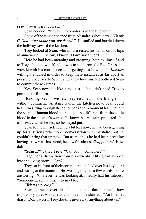*operation was a success ...?"*

Sean nodded. "It was. The cooler is in the kitchen."

Some of the tension seeped from Alistaire's shoulders. *"Thank G-God. And thank* you*, my friend."* He smiled and hurried down the hallway toward the kitchen.

Trey looked at Sean, who in turn rested his hands on his hips in annoyance. "I know, I know. Don't say a word ..."

Here he had been moaning and groaning, both to himself and to Trey, about how difficult it was to steal from the Red Cross and wrestle with his conscience ... forgetting just how much *Alistaire* willingly endured in order to keep these instances as far apart as possible, specifically *because* he knew how much it bothered Sean to commit these crimes.

Yes, Sean now felt like a real ass — he didn't need Trey to point it out for him.

Honoring Sean's wishes, Trey returned to the living room without comment. Alistaire was in the kitchen now; Sean could hear him sifting through the donor bags and, a moment later, caught the scent of human blood in the air — so different from the cattle blood in the butcher's wares. He knew that Alistaire preferred a bit of privacy when he fed, so he stayed put.

Sean found himself feeling a bit lost now; he had been gearing up for a serious "No more" conversation with Alistaire, but he couldn't bring that up now. But as much as he had been dreading having a row with his friend, he now felt almost *disappointed*. How daft!

"Sean ...?" called Trey. "Can you ... come here?"

Eager for a distraction from his own absurdity, Sean stepped into the living room. "Aye?"

Trey sat in front of their computer, hunched over his keyboard and staring at the monitor. He two-finger typed a few words before answering. Whatever he was looking at, it really had his interest. "Someone ... sent a link ... to my blog."

*"What is a 'blog'?"*

Sean glanced over his shoulder, too familiar with how impossibly quiet Alistaire could move to be startled. "An Internet diary. Don't worry; Trey doesn't give away anything about us."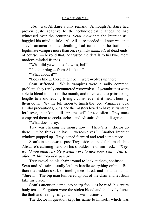*"Ah,"* was Alistaire's only remark. Although Alistaire had proven quite adaptive to the technological changes he had witnessed over the centuries, Sean knew that the Internet still boggled his mind a little. All Alistaire needed to know was that Trey's amateur, online sleuthing had turned up the trail of a legitimate vampire more than once (amidst *hundreds* of dead-ends, of course) — beyond that, he trusted the details to his two, more modern-minded friends.

"What did ye want to show us, lad?"

" 'nother blog ... from Alas-ka ..."

"What about it?"

"Looks like ... there might be ... were-wolves up there."

Sean stiffened. While vampires were a sadly common problem, they rarely encountered werewolves. Lycanthropes were able to blend in most of the month, and often went to painstaking lengths to avoid leaving living victims, even if it meant hunting them down *after* the full moon to finish the job. Vampires took similar precautions, but since the masters loved to have servants to lord over, their kind still "procreated" far too often. Trey once compared them to cockroaches, and Alistaire did not disagree.

"What does it say?"

Trey was clicking the mouse now. "There's a ... doctor up there ... who thinks he has ... were-wolves." Another Internet window popped up. Trey leaned forward and read some more.

Sean's instinct was to push Trey aside and read for himself, but Alistaire's calming hand on his shoulder held him back. *"Trey, would you mind terribly if Sean were to take your seat? This is, after all,* his *area of expertise."*

Trey swivelled his chair around to look at them, confused — Sean and Alistaire usually let him handle everything online. But then that hidden spark of intelligence flared, and he understood. "Sure ..." The big man lumbered up out of the chair and let Sean take his place.

Sean's attention came into sharp focus as he read, his entire body tense. Forgotten were the stolen blood and the lovely Lupe, the theft and feelings of guilt. This was business.

The doctor in question kept his name to himself, which was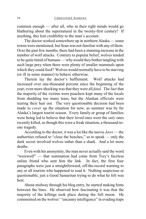common enough — after all, who in their right minds would go blathering about the supernatural in the twenty-first century? If anything, this lent credibility to the man's account.

The doctor worked somewhere up in northern Alaska — some towns were mentioned, but Sean was not familiar with any of them. Over the past few months, there had been a stunning increase in the number of wolf attacks. Contrary to popular belief, wolves tended to be quite timid of humans— why would they bother tangling with such large prey when there were plenty of smaller mammals upon which they could feed? Wolves would normally have to be starving (or ill in some manner) to behave otherwise.

Therein lay the doctor's bafflement. Wolf attacks had increased over one-thousand percent since the beginning of the year; even more shocking was that they were all *fatal*. The fact that the majority of the victims were poachers kept many of the locals from shedding too many tears, but the Alaskan officials were tearing their hair out. The very questionable decision had been made to *cover up* the situation for now, as summer was by far Alaska's largest tourist season. Every family or group of families were being led to believe that their loved ones were the *only* ones recently killed, as though this were a freak situation, a thousand-toone tragedy.

According to the doctor, it was a lot like the movie *Jaws* — the authorities refused to "close the beaches," so to speak — only the dark secret involved wolves rather than a shark. And a lot more deaths.

Even with his anonymity, the man never actually said the word "werewolf" — that summation had come from Trey's faceless online friend who sent him the link. In fact, the first four paragraphs were just a straightforward, off-the-record warning to any or all tourists who happened to read it. Nothing suspicious or questionable, just a Good Samaritan trying to do what he felt was best.

About midway through his blog entry, he started making hints between the lines. He observed how fascinating it was that the majority of the killings took place during the full moon. He commented on the wolves' "uncanny intelligence" in evading traps